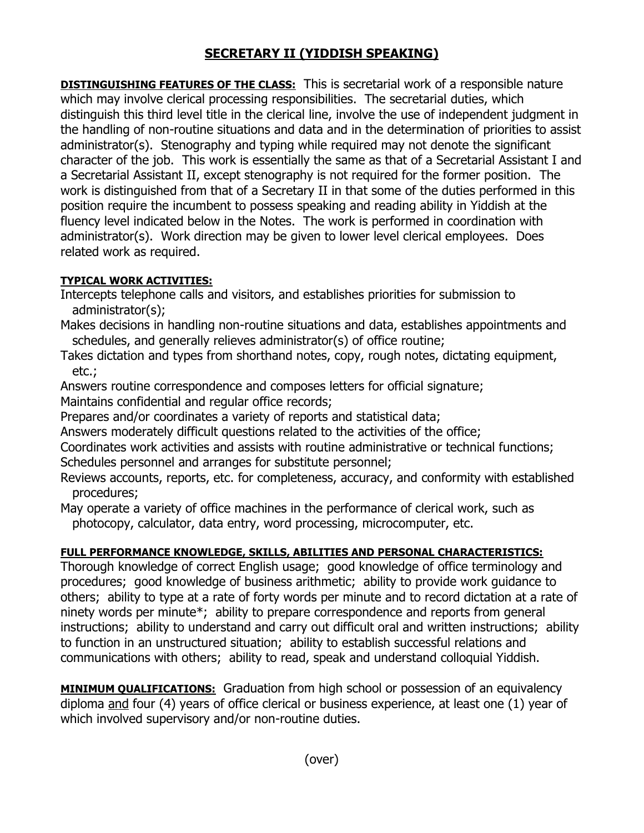## **SECRETARY II (YIDDISH SPEAKING)**

**DISTINGUISHING FEATURES OF THE CLASS:** This is secretarial work of a responsible nature which may involve clerical processing responsibilities. The secretarial duties, which distinguish this third level title in the clerical line, involve the use of independent judgment in the handling of non-routine situations and data and in the determination of priorities to assist administrator(s). Stenography and typing while required may not denote the significant character of the job. This work is essentially the same as that of a Secretarial Assistant I and a Secretarial Assistant II, except stenography is not required for the former position. The work is distinguished from that of a Secretary II in that some of the duties performed in this position require the incumbent to possess speaking and reading ability in Yiddish at the fluency level indicated below in the Notes. The work is performed in coordination with administrator(s). Work direction may be given to lower level clerical employees. Does related work as required.

## **TYPICAL WORK ACTIVITIES:**

- Intercepts telephone calls and visitors, and establishes priorities for submission to administrator(s);
- Makes decisions in handling non-routine situations and data, establishes appointments and schedules, and generally relieves administrator(s) of office routine;
- Takes dictation and types from shorthand notes, copy, rough notes, dictating equipment, etc.;
- Answers routine correspondence and composes letters for official signature;
- Maintains confidential and regular office records;
- Prepares and/or coordinates a variety of reports and statistical data;
- Answers moderately difficult questions related to the activities of the office;
- Coordinates work activities and assists with routine administrative or technical functions; Schedules personnel and arranges for substitute personnel;
- Reviews accounts, reports, etc. for completeness, accuracy, and conformity with established procedures;
- May operate a variety of office machines in the performance of clerical work, such as photocopy, calculator, data entry, word processing, microcomputer, etc.

## **FULL PERFORMANCE KNOWLEDGE, SKILLS, ABILITIES AND PERSONAL CHARACTERISTICS:**

Thorough knowledge of correct English usage; good knowledge of office terminology and procedures; good knowledge of business arithmetic; ability to provide work guidance to others; ability to type at a rate of forty words per minute and to record dictation at a rate of ninety words per minute\*; ability to prepare correspondence and reports from general instructions; ability to understand and carry out difficult oral and written instructions; ability to function in an unstructured situation; ability to establish successful relations and communications with others; ability to read, speak and understand colloquial Yiddish.

**MINIMUM QUALIFICATIONS:** Graduation from high school or possession of an equivalency diploma and four (4) years of office clerical or business experience, at least one (1) year of which involved supervisory and/or non-routine duties.